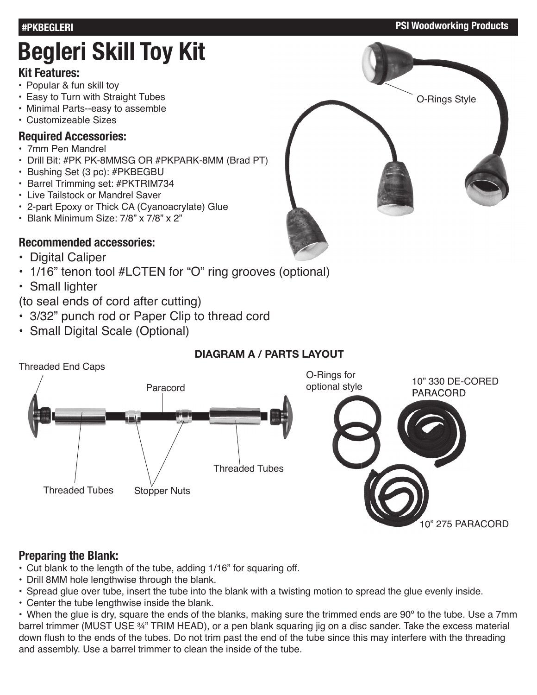#### **#PKBEGLERI PSI Woodworking Products**

# **Begleri Skill Toy Kit**

#### **Kit Features:**

- Popular & fun skill toy
- Easy to Turn with Straight Tubes
- Minimal Parts--easy to assemble
- Customizeable Sizes

#### **Required Accessories:**

- 7mm Pen Mandrel
- Drill Bit: #PK PK-8MMSG OR #PKPARK-8MM (Brad PT)
- Bushing Set (3 pc): #PKBEGBU
- Barrel Trimming set: #PKTRIM734
- Live Tailstock or Mandrel Saver
- 2-part Epoxy or Thick CA (Cyanoacrylate) Glue
- Blank Minimum Size: 7/8" x 7/8" x 2"

# **Recommended accessories:**

- Digital Caliper
- 1/16" tenon tool #LCTEN for "O" ring grooves (optional)
- Small lighter

# (to seal ends of cord after cutting)

- 3/32" punch rod or Paper Clip to thread cord
- Small Digital Scale (Optional)

# **DIAGRAM A / PARTS LAYOUT**



# **Preparing the Blank:**

- Cut blank to the length of the tube, adding 1/16" for squaring off.
- Drill 8MM hole lengthwise through the blank.
- Spread glue over tube, insert the tube into the blank with a twisting motion to spread the glue evenly inside.
- Center the tube lengthwise inside the blank.

• When the glue is dry, square the ends of the blanks, making sure the trimmed ends are 90º to the tube. Use a 7mm barrel trimmer (MUST USE ¾" TRIM HEAD), or a pen blank squaring jig on a disc sander. Take the excess material down flush to the ends of the tubes. Do not trim past the end of the tube since this may interfere with the threading and assembly. Use a barrel trimmer to clean the inside of the tube.